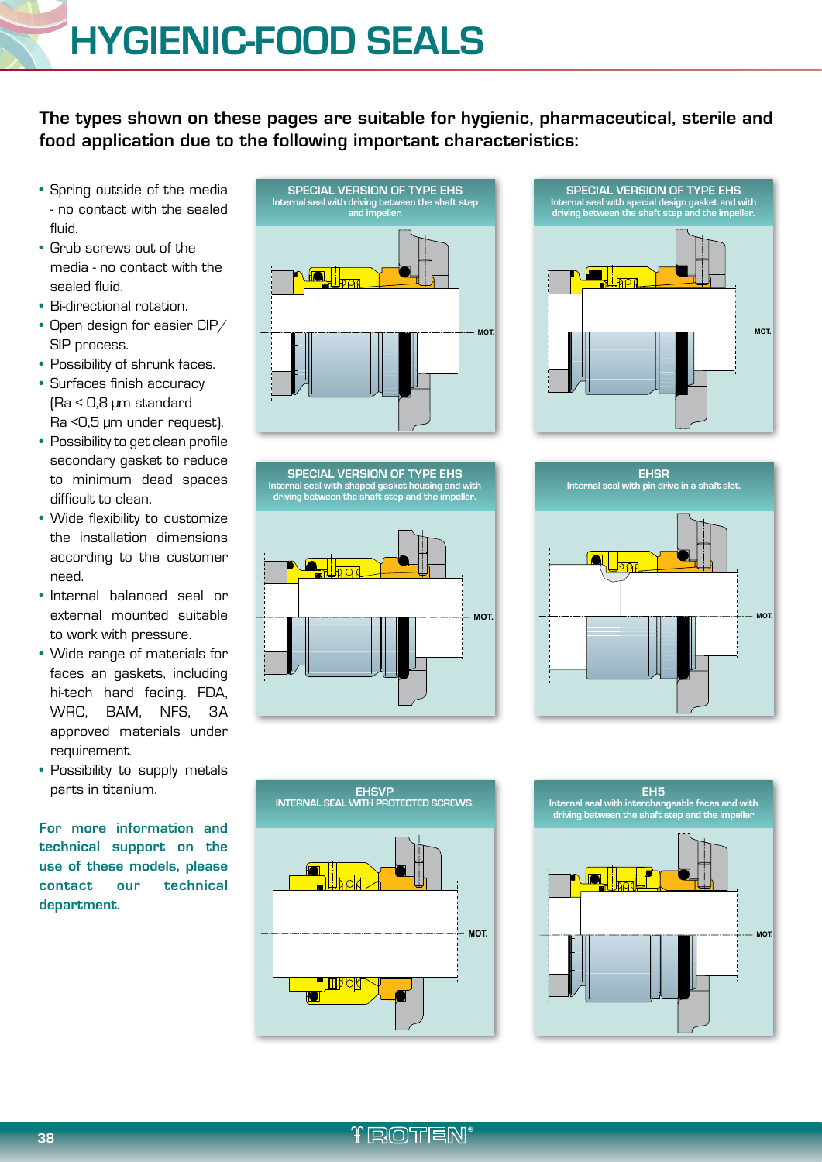**The types shown on these pages are suitable for hygienic, pharmaceutical, sterile and food application due to the following important characteristics:**

- Spring outside of the media - no contact with the sealed fluid.
- Grub screws out of the media - no contact with the sealed fluid.
- Bi-directional rotation.
- Open design for easier CIP/ SIP process.
- Possibility of shrunk faces.
- Surfaces finish accuracy (Ra < 0,8 µm standard Ra <0,5 µm under request).
- Possibility to get clean profile secondary gasket to reduce to minimum dead spaces difficult to clean.
- Wide flexibility to customize the installation dimensions according to the customer need.
- Internal balanced seal or external mounted suitable to work with pressure.
- Wide range of materials for faces an gaskets, including hi-tech hard facing. FDA, WRC, BAM, NFS, 3A approved materials under requirement.
- Possibility to supply metals parts in titanium.

**For more information and technical support on the use of these models, please contact our technical department.**



**SPECIAL VERSION OF TYPE EHS Internal seal with shaped gasket housing and with driving between the shaft step and the impeller.**

**SPECIAL VERSION OF TYPE EHS Internal seal with special design gasket and with driving between the shaft step and the impeller.**









**TROTEN**